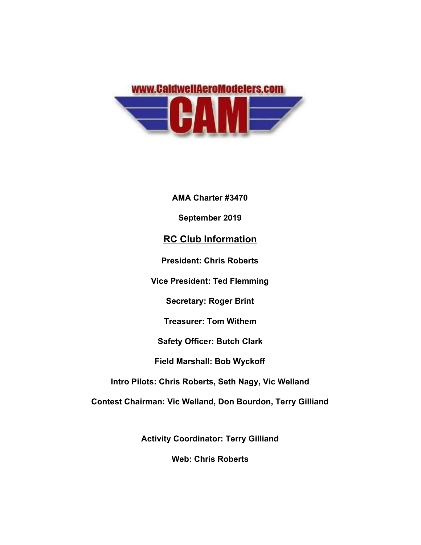

**AMA Charter #3470 September 2019 RC Club Information President: Chris Roberts Vice President: Ted Flemming Secretary: Roger Brint Treasurer: Tom Withem Safety Officer: Butch Clark Field Marshall: Bob Wyckoff Intro Pilots: Chris Roberts, Seth Nagy, Vic Welland Contest Chairman: Vic Welland, Don Bourdon, Terry Gilliand**

**Activity Coordinator: Terry Gilliand**

**Web: Chris Roberts**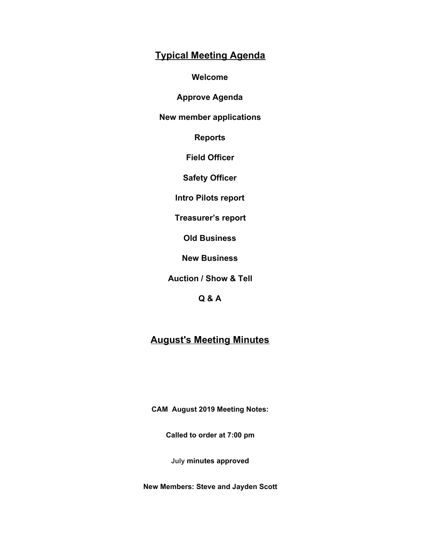## **Typical Meeting Agenda**

**Welcome**

**Approve Agenda**

**New member applications**

**Reports**

**Field Officer**

**Safety Officer**

**Intro Pilots report**

**Treasurer's report**

**Old Business**

**New Business**

**Auction / Show & Tell**

**Q & A**

## **August's Meeting Minutes**

**CAM August 2019 Meeting Notes:**

**Called to order at 7:00 pm**

**July minutes approved**

**New Members: Steve and Jayden Scott**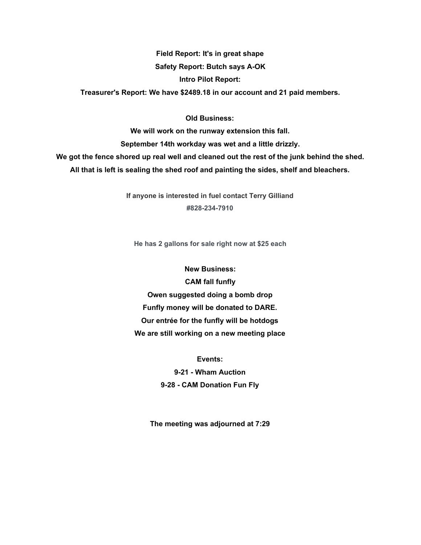**Field Report: It's in great shape Safety Report: Butch says A-OK Intro Pilot Report:**

**Treasurer's Report: We have \$2489.18 in our account and 21 paid members.**

**Old Business:**

**We will work on the runway extension this fall. September 14th workday was wet and a little drizzly. We got the fence shored up real well and cleaned out the rest of the junk behind the shed. All that is left is sealing the shed roof and painting the sides, shelf and bleachers.**

> **If anyone is interested in fuel contact Terry Gilliand #828-234-7910**

**He has 2 gallons for sale right now at \$25 each**

**New Business: CAM fall funfly Owen suggested doing a bomb drop Funfly money will be donated to DARE. Our entrée for the funfly will be hotdogs We are still working on a new meeting place**

> **Events: 9-21 - Wham Auction 9-28 - CAM Donation Fun Fly**

**The meeting was adjourned at 7:29**